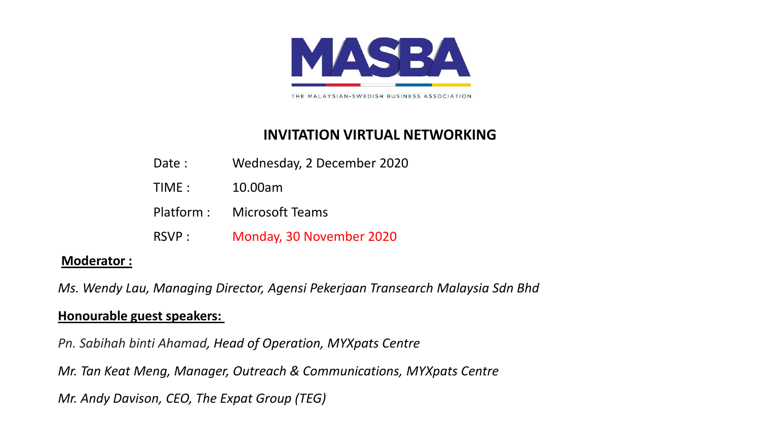

THE MALAYSIAN-SWEDISH BUSINESS ASSOCIATION

## **INVITATION VIRTUAL NETWORKING**

- Date : Wednesday, 2 December 2020
- TIME : 10.00am
- Platform : Microsoft Teams
- RSVP : Monday, 30 November 2020

### **Moderator :**

*Ms. Wendy Lau, Managing Director, Agensi Pekerjaan Transearch Malaysia Sdn Bhd*

### **Honourable guest speakers:**

*Pn. Sabihah binti Ahamad, Head of Operation, MYXpats Centre*

*Mr. Tan Keat Meng, Manager, Outreach & Communications, MYXpats Centre*

*Mr. Andy Davison, CEO, The Expat Group (TEG)*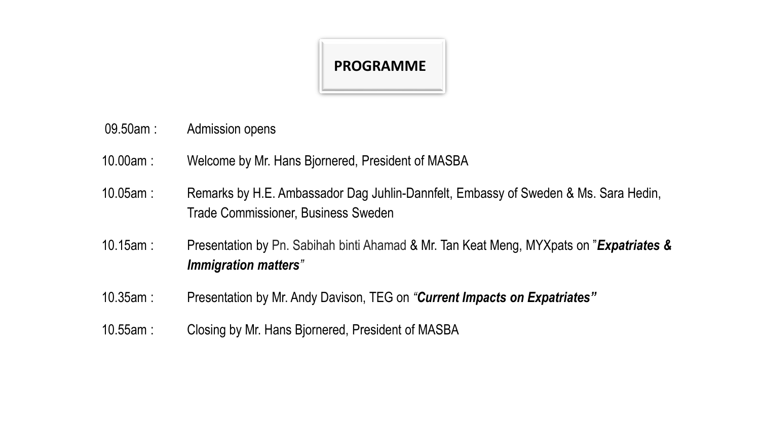

- 09.50am : Admission opens
- 10.00am : Welcome by Mr. Hans Bjornered, President of MASBA
- 10.05am : Remarks by H.E. Ambassador Dag Juhlin-Dannfelt, Embassy of Sweden & Ms. Sara Hedin, Trade Commissioner, Business Sweden
- 10.15am : Presentation by Pn. Sabihah binti Ahamad & Mr. Tan Keat Meng, MYXpats on "*Expatriates & Immigration matters"*
- 10.35am : Presentation by Mr. Andy Davison, TEG on *"Current Impacts on Expatriates"*
- 10.55am : Closing by Mr. Hans Bjornered, President of MASBA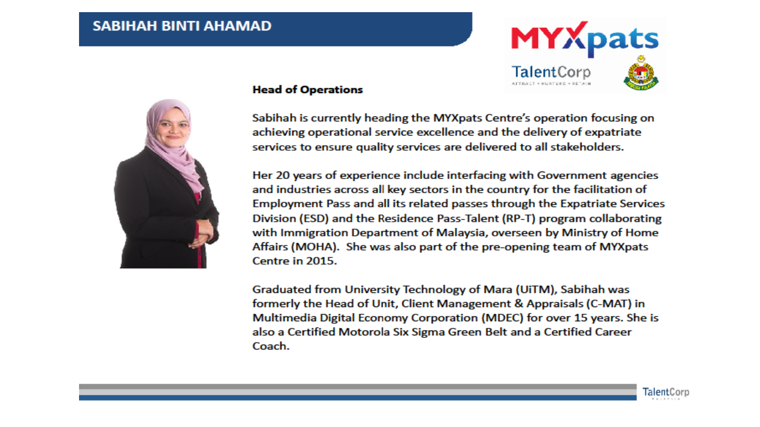### **SABIHAH BINTI AHAMAD**



#### **Head of Operations**

Sabihah is currently heading the MYXpats Centre's operation focusing on achieving operational service excellence and the delivery of expatriate services to ensure quality services are delivered to all stakeholders.

Her 20 years of experience include interfacing with Government agencies and industries across all key sectors in the country for the facilitation of Employment Pass and all its related passes through the Expatriate Services Division (ESD) and the Residence Pass-Talent (RP-T) program collaborating with Immigration Department of Malaysia, overseen by Ministry of Home Affairs (MOHA). She was also part of the pre-opening team of MYXpats Centre in 2015.

Graduated from University Technology of Mara (UiTM), Sabihah was formerly the Head of Unit, Client Management & Appraisals (C-MAT) in Multimedia Digital Economy Corporation (MDEC) for over 15 years. She is also a Certified Motorola Six Sigma Green Belt and a Certified Career Coach.



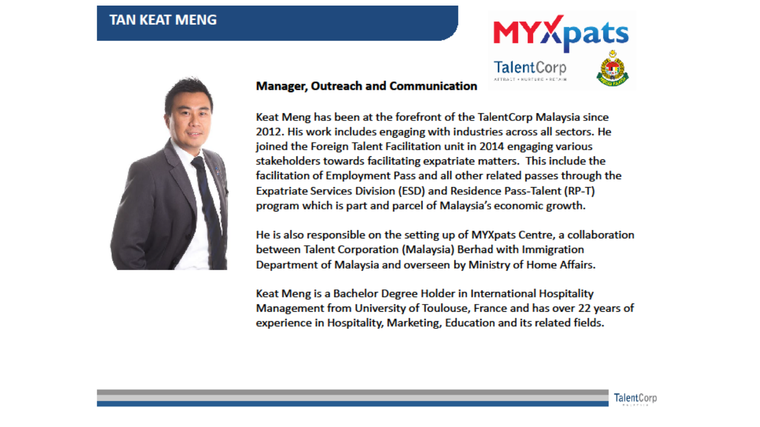### **TAN KEAT MENG**



### **Manager, Outreach and Communication**

Keat Meng has been at the forefront of the TalentCorp Malaysia since 2012. His work includes engaging with industries across all sectors. He joined the Foreign Talent Facilitation unit in 2014 engaging various stakeholders towards facilitating expatriate matters. This include the facilitation of Employment Pass and all other related passes through the Expatriate Services Division (ESD) and Residence Pass-Talent (RP-T) program which is part and parcel of Malaysia's economic growth.

He is also responsible on the setting up of MYXpats Centre, a collaboration between Talent Corporation (Malaysia) Berhad with Immigration Department of Malaysia and overseen by Ministry of Home Affairs.

Keat Meng is a Bachelor Degree Holder in International Hospitality Management from University of Toulouse, France and has over 22 years of experience in Hospitality, Marketing, Education and its related fields.